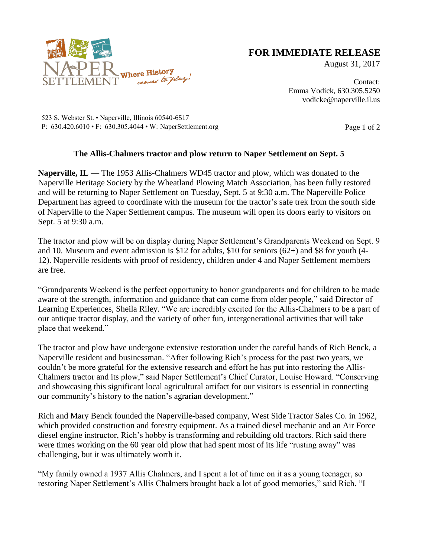

## **FOR IMMEDIATE RELEASE**

August 31, 2017

Contact: Emma Vodick, 630.305.5250 vodicke@naperville.il.us

523 S. Webster St. • Naperville, Illinois 60540-6517 P: 630.420.6010 • F: 630.305.4044 • W: NaperSettlement.org Page 1 of 2

## **The Allis-Chalmers tractor and plow return to Naper Settlement on Sept. 5**

**Naperville, IL —** The 1953 Allis-Chalmers WD45 tractor and plow, which was donated to the Naperville Heritage Society by the Wheatland Plowing Match Association, has been fully restored and will be returning to Naper Settlement on Tuesday, Sept. 5 at 9:30 a.m. The Naperville Police Department has agreed to coordinate with the museum for the tractor's safe trek from the south side of Naperville to the Naper Settlement campus. The museum will open its doors early to visitors on Sept. 5 at 9:30 a.m.

The tractor and plow will be on display during Naper Settlement's Grandparents Weekend on Sept. 9 and 10. Museum and event admission is \$12 for adults, \$10 for seniors (62+) and \$8 for youth (4- 12). Naperville residents with proof of residency, children under 4 and Naper Settlement members are free.

"Grandparents Weekend is the perfect opportunity to honor grandparents and for children to be made aware of the strength, information and guidance that can come from older people," said Director of Learning Experiences, Sheila Riley. "We are incredibly excited for the Allis-Chalmers to be a part of our antique tractor display, and the variety of other fun, intergenerational activities that will take place that weekend."

The tractor and plow have undergone extensive restoration under the careful hands of Rich Benck, a Naperville resident and businessman. "After following Rich's process for the past two years, we couldn't be more grateful for the extensive research and effort he has put into restoring the Allis-Chalmers tractor and its plow," said Naper Settlement's Chief Curator, Louise Howard. "Conserving and showcasing this significant local agricultural artifact for our visitors is essential in connecting our community's history to the nation's agrarian development."

Rich and Mary Benck founded the Naperville-based company, West Side Tractor Sales Co. in 1962, which provided construction and forestry equipment. As a trained diesel mechanic and an Air Force diesel engine instructor, Rich's hobby is transforming and rebuilding old tractors. Rich said there were times working on the 60 year old plow that had spent most of its life "rusting away" was challenging, but it was ultimately worth it.

"My family owned a 1937 Allis Chalmers, and I spent a lot of time on it as a young teenager, so restoring Naper Settlement's Allis Chalmers brought back a lot of good memories," said Rich. "I